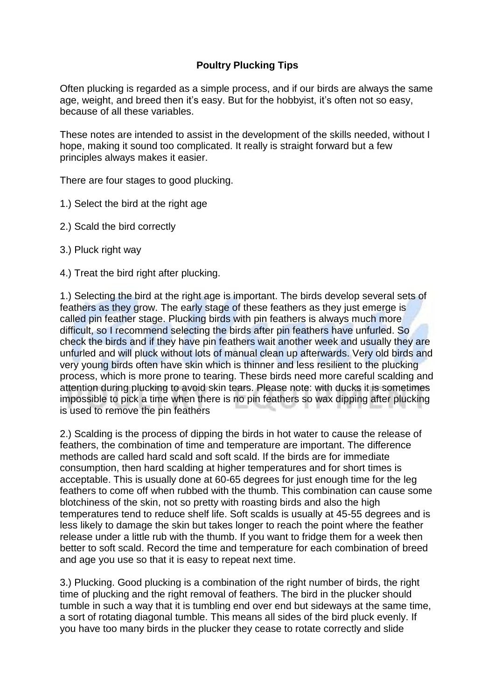## **Poultry Plucking Tips**

Often plucking is regarded as a simple process, and if our birds are always the same age, weight, and breed then it's easy. But for the hobbyist, it's often not so easy, because of all these variables.

These notes are intended to assist in the development of the skills needed, without I hope, making it sound too complicated. It really is straight forward but a few principles always makes it easier.

There are four stages to good plucking.

- 1.) Select the bird at the right age
- 2.) Scald the bird correctly
- 3.) Pluck right way
- 4.) Treat the bird right after plucking.

1.) Selecting the bird at the right age is important. The birds develop several sets of feathers as they grow. The early stage of these feathers as they just emerge is called pin feather stage. Plucking birds with pin feathers is always much more difficult, so I recommend selecting the birds after pin feathers have unfurled. So check the birds and if they have pin feathers wait another week and usually they are unfurled and will pluck without lots of manual clean up afterwards. Very old birds and very young birds often have skin which is thinner and less resilient to the plucking process, which is more prone to tearing. These birds need more careful scalding and attention during plucking to avoid skin tears. Please note: with ducks it is sometimes impossible to pick a time when there is no pin feathers so wax dipping after plucking is used to remove the pin feathers

2.) Scalding is the process of dipping the birds in hot water to cause the release of feathers, the combination of time and temperature are important. The difference methods are called hard scald and soft scald. If the birds are for immediate consumption, then hard scalding at higher temperatures and for short times is acceptable. This is usually done at 60-65 degrees for just enough time for the leg feathers to come off when rubbed with the thumb. This combination can cause some blotchiness of the skin, not so pretty with roasting birds and also the high temperatures tend to reduce shelf life. Soft scalds is usually at 45-55 degrees and is less likely to damage the skin but takes longer to reach the point where the feather release under a little rub with the thumb. If you want to fridge them for a week then better to soft scald. Record the time and temperature for each combination of breed and age you use so that it is easy to repeat next time.

3.) Plucking. Good plucking is a combination of the right number of birds, the right time of plucking and the right removal of feathers. The bird in the plucker should tumble in such a way that it is tumbling end over end but sideways at the same time, a sort of rotating diagonal tumble. This means all sides of the bird pluck evenly. If you have too many birds in the plucker they cease to rotate correctly and slide